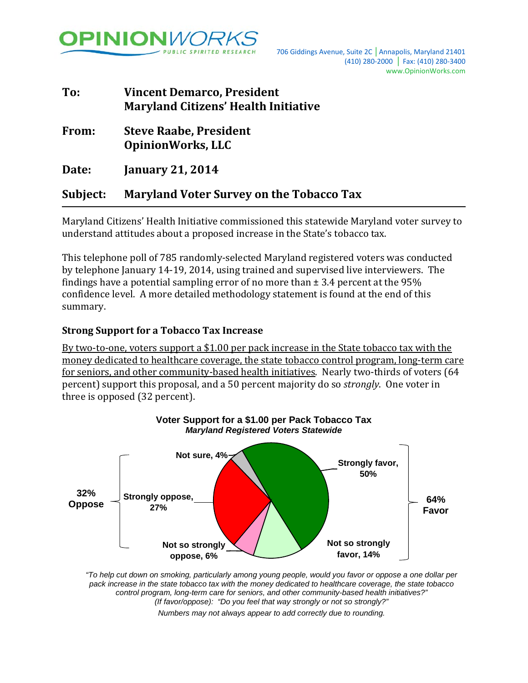

| To:      | <b>Vincent Demarco, President</b><br><b>Maryland Citizens' Health Initiative</b> |
|----------|----------------------------------------------------------------------------------|
| From:    | <b>Steve Raabe, President</b><br><b>OpinionWorks, LLC</b>                        |
| Date:    | <b>January 21, 2014</b>                                                          |
| Subject: | <b>Maryland Voter Survey on the Tobacco Tax</b>                                  |

Maryland Citizens' Health Initiative commissioned this statewide Maryland voter survey to understand attitudes about a proposed increase in the State's tobacco tax.

This telephone poll of 785 randomly-selected Maryland registered voters was conducted by telephone January 14-19, 2014, using trained and supervised live interviewers. The findings have a potential sampling error of no more than  $\pm$  3.4 percent at the 95% confidence level. A more detailed methodology statement is found at the end of this summary.

## **Strong Support for a Tobacco Tax Increase**

By two-to-one, voters support a \$1.00 per pack increase in the State tobacco tax with the money dedicated to healthcare coverage, the state tobacco control program, long-term care for seniors, and other community-based health initiatives. Nearly two-thirds of voters (64 percent) support this proposal, and a 50 percent majority do so *strongly*. One voter in three is opposed (32 percent).



*"To help cut down on smoking, particularly among young people, would you favor or oppose a one dollar per pack increase in the state tobacco tax with the money dedicated to healthcare coverage, the state tobacco control program, long-term care for seniors, and other community-based health initiatives?" (If favor/oppose): "Do you feel that way strongly or not so strongly?" Numbers may not always appear to add correctly due to rounding.*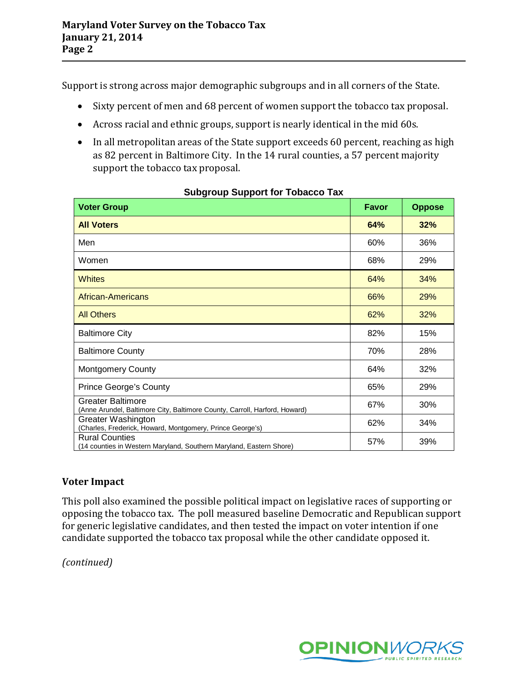Support is strong across major demographic subgroups and in all corners of the State.

- Sixty percent of men and 68 percent of women support the tobacco tax proposal.
- Across racial and ethnic groups, support is nearly identical in the mid 60s.
- In all metropolitan areas of the State support exceeds 60 percent, reaching as high as 82 percent in Baltimore City. In the 14 rural counties, a 57 percent majority support the tobacco tax proposal.

| <b>Voter Group</b>                                                                                     | Favor | <b>Oppose</b> |
|--------------------------------------------------------------------------------------------------------|-------|---------------|
| <b>All Voters</b>                                                                                      | 64%   | 32%           |
| Men                                                                                                    | 60%   | 36%           |
| Women                                                                                                  | 68%   | 29%           |
| <b>Whites</b>                                                                                          | 64%   | 34%           |
| <b>African-Americans</b>                                                                               | 66%   | 29%           |
| <b>All Others</b>                                                                                      | 62%   | 32%           |
| <b>Baltimore City</b>                                                                                  | 82%   | 15%           |
| <b>Baltimore County</b>                                                                                | 70%   | 28%           |
| <b>Montgomery County</b>                                                                               | 64%   | 32%           |
| <b>Prince George's County</b>                                                                          | 65%   | 29%           |
| <b>Greater Baltimore</b><br>(Anne Arundel, Baltimore City, Baltimore County, Carroll, Harford, Howard) | 67%   | 30%           |
| Greater Washington<br>(Charles, Frederick, Howard, Montgomery, Prince George's)                        | 62%   | 34%           |
| <b>Rural Counties</b><br>(14 counties in Western Maryland, Southern Maryland, Eastern Shore)           | 57%   | 39%           |

# **Voter Impact**

This poll also examined the possible political impact on legislative races of supporting or opposing the tobacco tax. The poll measured baseline Democratic and Republican support for generic legislative candidates, and then tested the impact on voter intention if one candidate supported the tobacco tax proposal while the other candidate opposed it.

*(continued)*